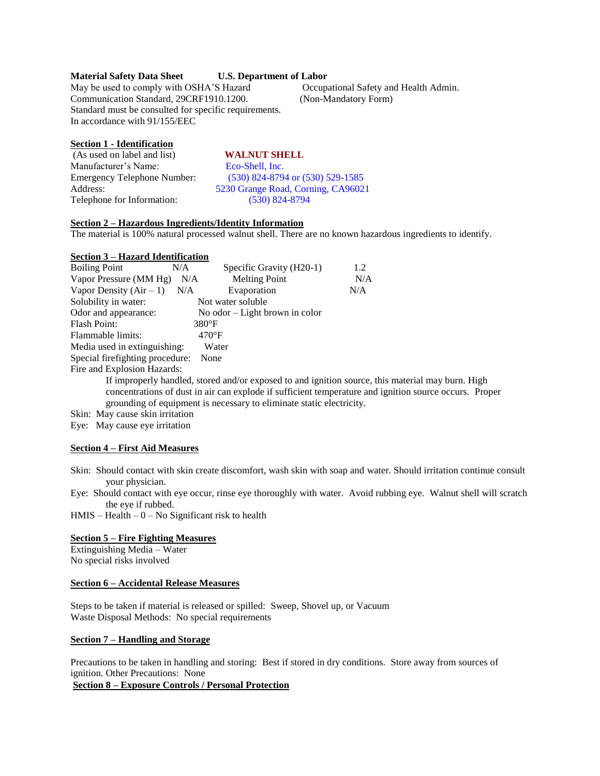## **Material Safety Data Sheet U.S. Department of Labor**

May be used to comply with OSHA'S Hazard Occupational Safety and Health Admin. Communication Standard, 29CRF1910.1200. (Non-Mandatory Form) Standard must be consulted for specific requirements. In accordance with 91/155/EEC

## **Section 1 - Identification**

| (As used on label and list) | <b>WALNUT SHELL</b>                |
|-----------------------------|------------------------------------|
| Manufacturer's Name:        | Eco-Shell, Inc.                    |
| Emergency Telephone Number: | (530) 824-8794 or (530) 529-1585   |
| Address:                    | 5230 Grange Road, Corning, CA96021 |
| Telephone for Information:  | $(530)$ 824-8794                   |
|                             |                                    |

# **Section 2 – Hazardous Ingredients/Identity Information**

The material is 100% natural processed walnut shell. There are no known hazardous ingredients to identify.

#### **Section 3 – Hazard Identification**

| <b>Boiling Point</b>                                                      | N/A | Specific Gravity (H20-1)        | 1.2 |  |
|---------------------------------------------------------------------------|-----|---------------------------------|-----|--|
| Vapor Pressure (MM Hg)                                                    | N/A | <b>Melting Point</b>            | N/A |  |
| Vapor Density $(Air - 1)$                                                 | N/A | Evaporation                     | N/A |  |
| Solubility in water:                                                      |     | Not water soluble               |     |  |
| Odor and appearance:                                                      |     | No odor $-Light$ brown in color |     |  |
| <b>Flash Point:</b>                                                       |     | $380^{\circ}$ F                 |     |  |
| Flammable limits:                                                         |     | $470^{\circ}$ F                 |     |  |
| Media used in extinguishing:<br>Water                                     |     |                                 |     |  |
| Special firefighting procedure:<br>None                                   |     |                                 |     |  |
| Fire and Explosion Hazards:                                               |     |                                 |     |  |
| If improperly handled, stored and/or exposed to and ignition source, this |     |                                 |     |  |

material may burn. High concentrations of dust in air can explode if sufficient temperature and ignition source occurs. Proper grounding of equipment is necessary to eliminate static electricity.

Skin: May cause skin irritation

Eye: May cause eye irritation

## **Section 4 – First Aid Measures**

Skin: Should contact with skin create discomfort, wash skin with soap and water. Should irritation continue consult your physician.

Eye: Should contact with eye occur, rinse eye thoroughly with water. Avoid rubbing eye. Walnut shell will scratch the eye if rubbed.

 $HMIS - Health - 0 - No Significant risk to health$ 

## **Section 5 – Fire Fighting Measures**

Extinguishing Media – Water No special risks involved

#### **Section 6 – Accidental Release Measures**

Steps to be taken if material is released or spilled: Sweep, Shovel up, or Vacuum Waste Disposal Methods: No special requirements

#### **Section 7 – Handling and Storage**

Precautions to be taken in handling and storing: Best if stored in dry conditions. Store away from sources of ignition. Other Precautions: None

**Section 8 – Exposure Controls / Personal Protection**